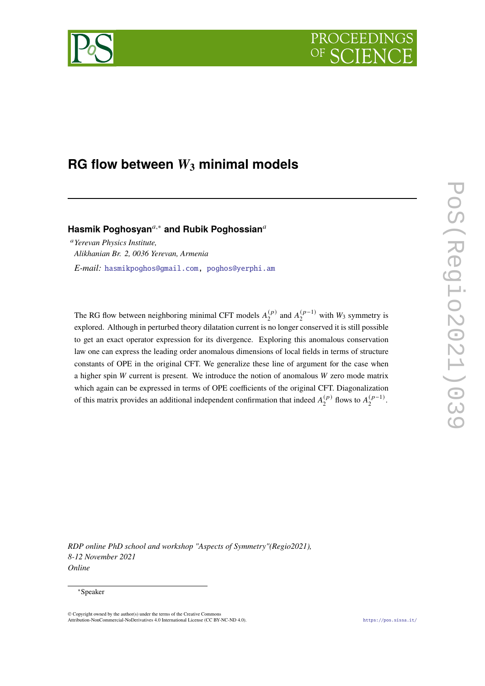# PROCEEDI



# **RG flow between**  $W_3$  minimal models

**Hasmik Poghosyan**<sup>a,∗</sup> and Rubik Poghossian<sup>a</sup>

*Yerevan Physics Institute, Alikhanian Br. 2, 0036 Yerevan, Armenia E-mail:* [hasmikpoghos@gmail.com,](mailto:hasmikpoghos@gmail.com) [poghos@yerphi.am](mailto:poghos@yerphi.am)

The RG flow between neighboring minimal CFT models  $A_2^{(p)}$  $\binom{p}{2}$  and  $A_2^{(p-1)}$  $\binom{(p-1)}{2}$  with  $W_3$  symmetry is explored. Although in perturbed theory dilatation current is no longer conserved it is still possible to get an exact operator expression for its divergence. Exploring this anomalous conservation law one can express the leading order anomalous dimensions of local fields in terms of structure constants of OPE in the original CFT. We generalize these line of argument for the case when a higher spin  $W$  current is present. We introduce the notion of anomalous  $W$  zero mode matrix which again can be expressed in terms of OPE coefficients of the original CFT. Diagonalization of this matrix provides an additional independent confirmation that indeed  $A_2^{(p)}$  $_2^{(p)}$  flows to  $A_2^{(p-1)}$  $\frac{(p-1)}{2}$ .

*RDP online PhD school and workshop "Aspects of Symmetry"(Regio2021), 8-12 November 2021 Online*

#### <sup>∗</sup>Speaker

<sup>©</sup> Copyright owned by the author(s) under the terms of the Creative Commons Attribution-NonCommercial-NoDerivatives 4.0 International License (CC BY-NC-ND 4.0). <https://pos.sissa.it/>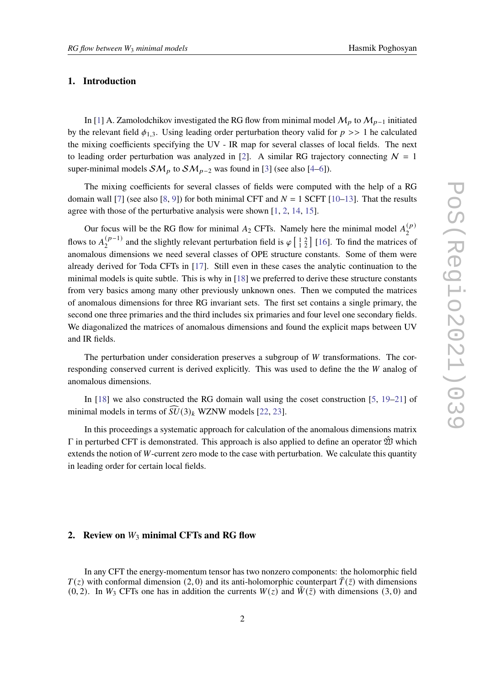# **1. Introduction**

In [\[1\]](#page-9-0) A. Zamolodchikov investigated the RG flow from minimal model  $M_p$  to  $M_{p-1}$  initiated by the relevant field  $\phi_{1,3}$ . Using leading order perturbation theory valid for  $p \gg 1$  he calculated the mixing coefficients specifying the UV - IR map for several classes of local fields. The next to leading order perturbation was analyzed in [\[2\]](#page-9-1). A similar RG trajectory connecting  $N = 1$ super-minimal models  $SM_p$  to  $SM_{p-2}$  was found in [\[3\]](#page-9-2) (see also [\[4](#page-9-3)[–6\]](#page-9-4)).

The mixing coefficients for several classes of fields were computed with the help of a RG domain wall [\[7\]](#page-9-5) (see also [\[8,](#page-9-6) [9\]](#page-9-7)) for both minimal CFT and  $N = 1$  SCFT [\[10–](#page-9-8)[13\]](#page-9-9). That the results agree with those of the perturbative analysis were shown [\[1,](#page-9-0) [2,](#page-9-1) [14,](#page-9-10) [15\]](#page-9-11).

Our focus will be the RG flow for minimal  $A_2$  CFTs. Namely here the minimal model  $A_2^{(p)}$ 2 flows to  $A_2^{(p-1)}$  $\binom{p-1}{2}$  and the slightly relevant perturbation field is  $\varphi\left[\frac{1}{12}\right]$  [\[16\]](#page-9-12). To find the matrices of anomalous dimensions we need several classes of OPE structure constants. Some of them were already derived for Toda CFTs in [\[17\]](#page-9-13). Still even in these cases the analytic continuation to the minimal models is quite subtle. This is why in  $[18]$  we preferred to derive these structure constants from very basics among many other previously unknown ones. Then we computed the matrices of anomalous dimensions for three RG invariant sets. The first set contains a single primary, the second one three primaries and the third includes six primaries and four level one secondary fields. We diagonalized the matrices of anomalous dimensions and found the explicit maps between UV and IR fields.

The perturbation under consideration preserves a subgroup of  $W$  transformations. The corresponding conserved current is derived explicitly. This was used to define the  $W$  analog of anomalous dimensions.

In [\[18\]](#page-9-14) we also constructed the RG domain wall using the coset construction [\[5,](#page-9-15) [19–](#page-9-16)[21\]](#page-9-17) of minimal models in terms of  $\widehat{SU}(3)_k$  WZNW models [\[22,](#page-9-18) [23\]](#page-9-19).

In this proceedings a systematic approach for calculation of the anomalous dimensions matrix  $Γ$  in perturbed CFT is demonstrated. This approach is also applied to define an operator  $\hat{W}$  which extends the notion of  $W$ -current zero mode to the case with perturbation. We calculate this quantity in leading order for certain local fields.

# **2.** Review on  $W_3$  minimal CFTs and RG flow

In any CFT the energy-momentum tensor has two nonzero components: the holomorphic field  $T(z)$  with conformal dimension (2, 0) and its anti-holomorphic counterpart  $\overline{T}(\overline{z})$  with dimensions (0, 2). In  $W_3$  CFTs one has in addition the currents  $W(z)$  and  $\overline{W}(\overline{z})$  with dimensions (3, 0) and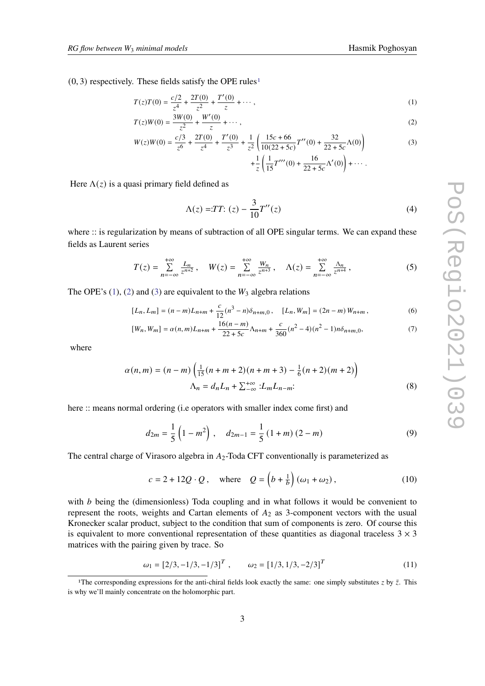$(0, 3)$  respectively. These fields satisfy the OPE rules<sup>[1](#page-2-0)</sup>

<span id="page-2-1"></span>
$$
T(z)T(0) = \frac{c/2}{z^4} + \frac{2T(0)}{z^2} + \frac{T'(0)}{z} + \cdots,
$$
 (1)

$$
T(z)W(0) = \frac{3W(0)}{z^2} + \frac{W'(0)}{z} + \cdots,
$$
\n(2)

$$
W(z)W(0) = \frac{c/3}{z^6} + \frac{2T(0)}{z^4} + \frac{T'(0)}{z^3} + \frac{1}{z^2} \left( \frac{15c + 66}{10(22 + 5c)} T''(0) + \frac{32}{22 + 5c} \Lambda(0) \right)
$$
  
 
$$
+ \frac{1}{z} \left( \frac{1}{15} T'''(0) + \frac{16}{22 + 5c} \Lambda'(0) \right) + \cdots
$$
 (3)

Here  $\Lambda(z)$  is a quasi primary field defined as

$$
\Lambda(z) = T T: (z) - \frac{3}{10} T''(z) \tag{4}
$$

where :: is regularization by means of subtraction of all OPE singular terms. We can expand these fields as Laurent series

$$
T(z) = \sum_{n = -\infty}^{+\infty} \frac{L_n}{z^{n+2}}, \quad W(z) = \sum_{n = -\infty}^{+\infty} \frac{W_n}{z^{n+3}}, \quad \Lambda(z) = \sum_{n = -\infty}^{+\infty} \frac{\Lambda_n}{z^{n+4}},
$$
 (5)

The OPE's  $(1)$ ,  $(2)$  and  $(3)$  are equivalent to the  $W_3$  algebra relations

$$
[L_n, L_m] = (n-m)L_{n+m} + \frac{c}{12}(n^3 - n)\delta_{n+m,0}, \quad [L_n, W_m] = (2n - m)W_{n+m}, \tag{6}
$$

$$
[W_n, W_m] = \alpha(n, m)L_{n+m} + \frac{16(n-m)}{22 + 5c} \Lambda_{n+m} + \frac{c}{360}(n^2 - 4)(n^2 - 1)n\delta_{n+m,0},\tag{7}
$$

where

$$
\alpha(n,m) = (n-m)\left(\frac{1}{15}(n+m+2)(n+m+3) - \frac{1}{6}(n+2)(m+2)\right)
$$
  

$$
\Lambda_n = d_n L_n + \sum_{-\infty}^{+\infty} L_m L_{n-m}.
$$
 (8)

here :: means normal ordering (i.e operators with smaller index come first) and

$$
d_{2m} = \frac{1}{5} \left( 1 - m^2 \right), \quad d_{2m-1} = \frac{1}{5} \left( 1 + m \right) \left( 2 - m \right) \tag{9}
$$

The central charge of Virasoro algebra in  $A_2$ -Toda CFT conventionally is parameterized as

<span id="page-2-2"></span>
$$
c = 2 + 12Q \cdot Q, \quad \text{where} \quad Q = \left(b + \frac{1}{b}\right) \left(\omega_1 + \omega_2\right),\tag{10}
$$

with  $b$  being the (dimensionless) Toda coupling and in what follows it would be convenient to represent the roots, weights and Cartan elements of  $A_2$  as 3-component vectors with the usual Kronecker scalar product, subject to the condition that sum of components is zero. Of course this is equivalent to more conventional representation of these quantities as diagonal traceless  $3 \times 3$ matrices with the pairing given by trace. So

$$
\omega_1 = [2/3, -1/3, -1/3]^T , \qquad \omega_2 = [1/3, 1/3, -2/3]^T
$$
 (11)

<span id="page-2-0"></span><sup>&</sup>lt;sup>1</sup>The corresponding expressions for the anti-chiral fields look exactly the same: one simply substitutes  $z$  by  $\bar{z}$ . This is why we'll mainly concentrate on the holomorphic part.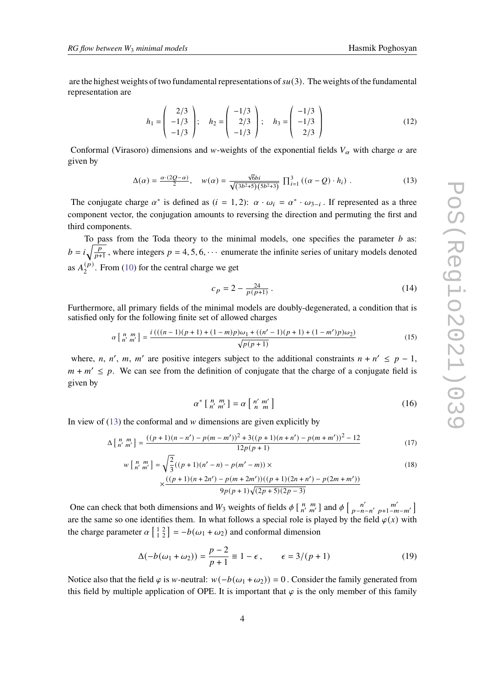are the highest weights of two fundamental representations of  $su(3)$ . The weights of the fundamental representation are

$$
h_1 = \begin{pmatrix} 2/3 \\ -1/3 \\ -1/3 \end{pmatrix}; \quad h_2 = \begin{pmatrix} -1/3 \\ 2/3 \\ -1/3 \end{pmatrix}; \quad h_3 = \begin{pmatrix} -1/3 \\ -1/3 \\ 2/3 \end{pmatrix}
$$
 (12)

Conformal (Virasoro) dimensions and w-weights of the exponential fields  $V_\alpha$  with charge  $\alpha$  are given by

<span id="page-3-0"></span>
$$
\Delta(\alpha) = \frac{\alpha \cdot (2Q - \alpha)}{2}, \quad w(\alpha) = \frac{\sqrt{6bi}}{\sqrt{(3b^2 + 5)(5b^2 + 3)}} \prod_{i=1}^3 ((\alpha - Q) \cdot h_i).
$$
 (13)

The conjugate charge  $\alpha^*$  is defined as  $(i = 1, 2)$ :  $\alpha \cdot \omega_i = \alpha^* \cdot \omega_{3-i}$ . If represented as a three component vector, the conjugation amounts to reversing the direction and permuting the first and third components.

To pass from the Toda theory to the minimal models, one specifies the parameter  $b$  as:  $b = i \sqrt{\frac{p}{p+1}}$ , where integers  $p = 4, 5, 6, \cdots$  enumerate the infinite series of unitary models denoted as  $A_2^{(p)}$  $2<sup>(p)</sup>$ . From [\(10\)](#page-2-2) for the central charge we get

$$
c_p = 2 - \frac{24}{p(p+1)} \,. \tag{14}
$$

Furthermore, all primary fields of the minimal models are doubly-degenerated, a condition that is satisfied only for the following finite set of allowed charges

$$
\alpha \left[ \begin{array}{c} n \ m \\ n' \ m' \end{array} \right] = \frac{i\left( ((n-1)(p+1) + (1-m)p)\omega_1 + ((n'-1)(p+1) + (1-m')p)\omega_2\right)}{\sqrt{p(p+1)}}\tag{15}
$$

where, n, n', m, m' are positive integers subject to the additional constraints  $n + n' \le p - 1$ ,  $m + m' \leq p$ . We can see from the definition of conjugate that the charge of a conjugate field is given by

$$
\alpha^* \left[ \begin{array}{cc} n & m \\ n' & m' \end{array} \right] = \alpha \left[ \begin{array}{cc} n' & m' \\ n & m \end{array} \right] \tag{16}
$$

In view of  $(13)$  the conformal and  $w$  dimensions are given explicitly by

<span id="page-3-1"></span>
$$
\Delta \left[ \begin{array}{c} n \ m \\ n' \ m' \end{array} \right] = \frac{((p+1)(n-n') - p(m-m'))^2 + 3((p+1)(n+n') - p(m+m'))^2 - 12}{12p(p+1)} \tag{17}
$$

$$
w\left[n',\frac{m}{n'}\right] = \sqrt{\frac{2}{3}}((p+1)(n'-n) - p(m'-m)) \times \times \frac{((p+1)(n+2n') - p(m+2m'))((p+1)(2n+n') - p(2m+m'))}{9p(p+1)\sqrt{(2p+5)(2p-3)}}
$$
\n(18)

One can check that both dimensions and  $W_3$  weights of fields  $\phi \begin{bmatrix} n & m \\ n' & m' \end{bmatrix}$  and  $\phi \begin{bmatrix} n' & m' \\ p-n-n' & p+1-m-m' \end{bmatrix}$ are the same so one identifies them. In what follows a special role is played by the field  $\varphi(x)$  with the charge parameter  $\alpha \begin{bmatrix} 1 & 2 \\ 1 & 2 \end{bmatrix} = -b(\omega_1 + \omega_2)$  and conformal dimension

$$
\Delta(-b(\omega_1 + \omega_2)) = \frac{p-2}{p+1} \equiv 1 - \epsilon, \qquad \epsilon = 3/(p+1)
$$
 (19)

Notice also that the field  $\varphi$  is w-neutral:  $w(-b(\omega_1 + \omega_2)) = 0$ . Consider the family generated from this field by multiple application of OPE. It is important that  $\varphi$  is the only member of this family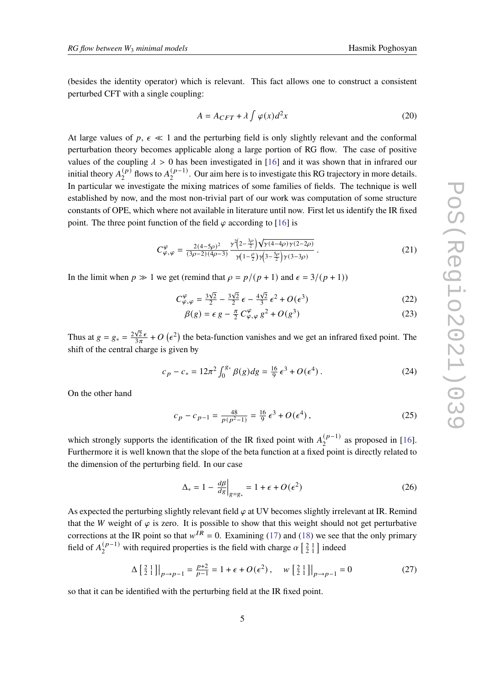(besides the identity operator) which is relevant. This fact allows one to construct a consistent perturbed CFT with a single coupling:

$$
A = A_{CFT} + \lambda \int \varphi(x) d^2x \tag{20}
$$

At large values of  $p, \epsilon \ll 1$  and the perturbing field is only slightly relevant and the conformal perturbation theory becomes applicable along a large portion of RG flow. The case of positive values of the coupling  $\lambda > 0$  has been investigated in [\[16\]](#page-9-12) and it was shown that in infrared our initial theory  $A_2^{(p)}$  $\binom{p}{2}$  flows to  $A_2^{(p-1)}$  $2^{(p-1)}$ . Our aim here is to investigate this RG trajectory in more details. In particular we investigate the mixing matrices of some families of fields. The technique is well established by now, and the most non-trivial part of our work was computation of some structure constants of OPE, which where not available in literature until now. First let us identify the IR fixed point. The three point function of the field  $\varphi$  according to [\[16\]](#page-9-12) is

$$
C^{\varphi}_{\varphi,\varphi} = \frac{2(4-5\rho)^2}{(3\rho-2)(4\rho-3)} \frac{\gamma^2 \left(2-\frac{3\rho}{2}\right) \sqrt{\gamma(4-4\rho)\gamma(2-2\rho)}}{\gamma \left(1-\frac{\rho}{2}\right) \gamma \left(3-\frac{5\rho}{2}\right) \gamma(3-3\rho)}\,. \tag{21}
$$

In the limit when  $p \gg 1$  we get (remind that  $\rho = p/(p + 1)$  and  $\epsilon = 3/(p + 1)$ )

$$
C^{\varphi}_{\varphi,\varphi} = \frac{3\sqrt{2}}{2} - \frac{3\sqrt{2}}{2}\epsilon - \frac{4\sqrt{2}}{3}\epsilon^2 + O(\epsilon^3)
$$
 (22)

$$
\beta(g) = \epsilon g - \frac{\pi}{2} C^{\varphi}_{\varphi,\varphi} g^2 + O(g^3)
$$
\n(23)

Thus at  $g = g_* = \frac{2\sqrt{2} \epsilon}{3 \pi}$  $\frac{\sqrt{2}\epsilon}{3\pi}$  + O ( $\epsilon^2$ ) the beta-function vanishes and we get an infrared fixed point. The shift of the central charge is given by

$$
c_p - c_* = 12\pi^2 \int_0^{g_*} \beta(g) dg = \frac{16}{9} \epsilon^3 + O(\epsilon^4) \,. \tag{24}
$$

On the other hand

$$
c_p - c_{p-1} = \frac{48}{p(p^2 - 1)} = \frac{16}{9} \epsilon^3 + O(\epsilon^4),
$$
 (25)

which strongly supports the identification of the IR fixed point with  $A_2^{(p-1)}$  $\binom{(p-1)}{2}$  as proposed in [\[16\]](#page-9-12). Furthermore it is well known that the slope of the beta function at a fixed point is directly related to the dimension of the perturbing field. In our case

$$
\Delta_* = 1 - \frac{d\beta}{dg}\Big|_{g=g_*} = 1 + \epsilon + O(\epsilon^2)
$$
\n(26)

As expected the perturbing slightly relevant field  $\varphi$  at UV becomes slightly irrelevant at IR. Remind that the W weight of  $\varphi$  is zero. It is possible to show that this weight should not get perturbative corrections at the IR point so that  $w^{IR} = 0$ . Examining [\(17\)](#page-3-1) and [\(18\)](#page-3-1) we see that the only primary field of  $A_2^{(p-1)}$  $\binom{(p-1)}{2}$  with required properties is the field with charge  $\alpha \begin{bmatrix} 2 & 1 \\ 2 & 1 \end{bmatrix}$  indeed

$$
\Delta\left[\begin{array}{c} 2 & 1 \\ 2 & 1 \end{array}\right]\Big|_{p \to p-1} = \frac{p+2}{p-1} = 1 + \epsilon + O(\epsilon^2) \,, \quad w\left[\begin{array}{c} 2 & 1 \\ 2 & 1 \end{array}\right]\Big|_{p \to p-1} = 0 \tag{27}
$$

so that it can be identified with the perturbing field at the IR fixed point.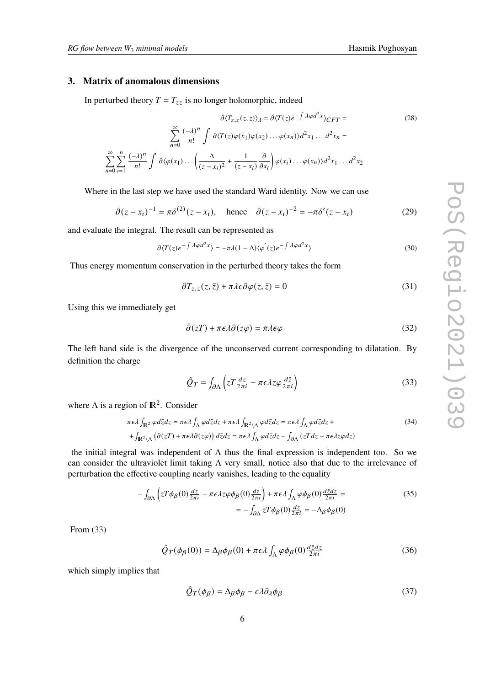# **3. Matrix of anomalous dimensions**

In perturbed theory  $T = T_{zz}$  is no longer holomorphic, indeed

$$
\bar{\partial}\langle T_{z,z}(z,\bar{z})\rangle_{\lambda} = \bar{\partial}\langle T(z)e^{-\int \lambda\varphi d^{2}x}\rangle_{CFT} =
$$
\n
$$
\sum_{n=0}^{\infty} \frac{(-\lambda)^{n}}{n!} \int \bar{\partial}\langle T(z)\varphi(x_{1})\varphi(x_{2})\dots\varphi(x_{n})\rangle d^{2}x_{1}\dots d^{2}x_{n} =
$$
\n
$$
\sum_{n=0}^{\infty} \sum_{i=1}^{n} \frac{(-\lambda)^{n}}{n!} \int \bar{\partial}\langle\varphi(x_{1})\dots\left(\frac{\Delta}{(z-x_{i})^{2}} + \frac{1}{(z-x_{i})}\frac{\partial}{\partial x_{i}}\right)\varphi(x_{i})\dots\varphi(x_{n})\rangle d^{2}x_{1}\dots d^{2}x_{2}
$$
\n(28)

Where in the last step we have used the standard Ward identity. Now we can use

<span id="page-5-1"></span>
$$
\bar{\partial}(z - x_i)^{-1} = \pi \delta^{(2)}(z - x_i), \quad \text{hence} \quad \bar{\partial}(z - x_i)^{-2} = -\pi \delta'(z - x_i) \tag{29}
$$

and evaluate the integral. The result can be represented as

$$
\bar{\partial}\langle T(z)e^{-\int \lambda \varphi d^2x}\rangle = -\pi\lambda(1-\Delta)\langle \varphi^{'}(z)e^{-\int \lambda \varphi d^2x}\rangle
$$
\n(30)

Thus energy momentum conservation in the perturbed theory takes the form

$$
\bar{\partial}T_{z,z}(z,\bar{z}) + \pi \lambda \epsilon \partial \varphi(z,\bar{z}) = 0 \tag{31}
$$

Using this we immediately get

$$
\bar{\partial}(zT) + \pi \epsilon \lambda \partial(z\varphi) = \pi \lambda \epsilon \varphi \tag{32}
$$

The left hand side is the divergence of the unconserved current corresponding to dilatation. By definition the charge

<span id="page-5-0"></span>
$$
\hat{Q}_T = \int_{\partial \Lambda} \left( z T \frac{dz}{2\pi i} - \pi \epsilon \lambda z \varphi \frac{d\bar{z}}{2\pi i} \right) \tag{33}
$$

where  $\Lambda$  is a region of  $\mathbb{R}^2$ . Consider

<span id="page-5-2"></span>
$$
\pi \epsilon \lambda \int_{\mathbb{R}^2} \varphi d\bar{z} dz = \pi \epsilon \lambda \int_{\Lambda} \varphi d\bar{z} dz + \pi \epsilon \lambda \int_{\mathbb{R}^2 \setminus \Lambda} \varphi d\bar{z} dz = \pi \epsilon \lambda \int_{\Lambda} \varphi d\bar{z} dz +
$$
  
+ 
$$
\int_{\mathbb{R}^2 \setminus \Lambda} (\bar{\partial}(zT) + \pi \epsilon \lambda \partial(z\varphi)) d\bar{z} dz = \pi \epsilon \lambda \int_{\Lambda} \varphi d\bar{z} dz - \int_{\partial \Lambda} (zT dz - \pi \epsilon \lambda z \varphi dz)
$$
 (34)

the initial integral was independent of  $\Lambda$  thus the final expression is independent too. So we can consider the ultraviolet limit taking Λ very small, notice also that due to the irrelevance of perturbation the effective coupling nearly vanishes, leading to the equality

$$
-\int_{\partial \Lambda} \left( zT\phi_{\beta}(0) \frac{dz}{2\pi i} - \pi \epsilon \lambda z \varphi \phi_{\beta}(0) \frac{dz}{2\pi i} \right) + \pi \epsilon \lambda \int_{\Lambda} \varphi \phi_{\beta}(0) \frac{d\bar{z}dz}{2\pi i} = -\int_{\partial \Lambda} zT\phi_{\beta}(0) \frac{dz}{2\pi i} = -\Delta_{\beta}\phi_{\beta}(0)
$$
\n(35)

From [\(33\)](#page-5-0)

$$
\hat{Q}_T(\phi_\beta(0)) = \Delta_\beta \phi_\beta(0) + \pi \epsilon \lambda \int_{\Lambda} \varphi \phi_\beta(0) \frac{d\bar{z} dz}{2\pi i}
$$
\n(36)

which simply implies that

$$
\hat{Q}_T(\phi_\beta) = \Delta_\beta \phi_\beta - \epsilon \lambda \partial_\lambda \phi_\beta \tag{37}
$$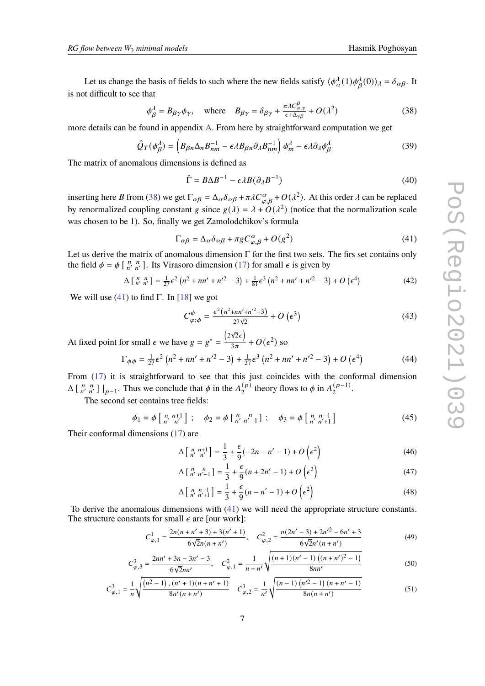Let us change the basis of fields to such where the new fields satisfy  $\langle \phi_\alpha^{\lambda}(1)\phi_\beta^{\lambda}(0)\rangle_{\lambda} = \delta_{\alpha\beta}$ . It is not difficult to see that

<span id="page-6-0"></span>
$$
\phi_{\beta}^{\lambda} = B_{\beta\gamma}\phi_{\gamma}, \quad \text{where} \quad B_{\beta\gamma} = \delta_{\beta\gamma} + \frac{\pi\lambda C_{\varphi,\gamma}^{\beta}}{\epsilon + \Delta_{\gamma\beta}} + O(\lambda^2)
$$
 (38)

more details can be found in appendix [A.](#page-8-0) From here by straightforward computation we get

$$
\hat{Q}_T(\phi_\beta^\lambda) = \left(B_{\beta n} \Delta_n B_{nm}^{-1} - \epsilon \lambda B_{\beta n} \partial_\lambda B_{nm}^{-1}\right) \phi_m^\lambda - \epsilon \lambda \partial_\lambda \phi_\beta^\lambda \tag{39}
$$

The matrix of anomalous dimensions is defined as

$$
\hat{\Gamma} = B\Delta B^{-1} - \epsilon \lambda B (\partial_{\lambda} B^{-1})
$$
\n(40)

inserting here B from [\(38\)](#page-6-0) we get  $\Gamma_{\alpha\beta} = \Delta_{\alpha}\delta_{\alpha\beta} + \pi\lambda C_{\alpha,\beta}^{\alpha} + O(\lambda^2)$ . At this order  $\lambda$  can be replaced by renormalized coupling constant g since  $g(\lambda) = \lambda + O(\lambda^2)$  (notice that the normalization scale was chosen to be 1). So, finally we get Zamolodchikov's formula

<span id="page-6-1"></span>
$$
\Gamma_{\alpha\beta} = \Delta_{\alpha}\delta_{\alpha\beta} + \pi g C_{\varphi,\beta}^{\alpha} + O(g^2)
$$
\n(41)

Let us derive the matrix of anomalous dimension  $\Gamma$  for the first two sets. The firs set contains only the field  $\phi = \phi \left[ \begin{array}{cc} n & n \\ n' & n' \end{array} \right]$ . Its Virasoro dimension [\(17\)](#page-3-1) for small  $\epsilon$  is given by

$$
\Delta \left[ \begin{array}{cc} n & n \\ n' & n' \end{array} \right] = \frac{1}{27} \epsilon^2 \left( n^2 + n n' + n'^2 - 3 \right) + \frac{1}{81} \epsilon^3 \left( n^2 + n n' + n'^2 - 3 \right) + O \left( \epsilon^4 \right) \tag{42}
$$

We will use [\(41\)](#page-6-1) to find Γ. In [\[18\]](#page-9-14) we got

$$
C^{\phi}_{\varphi;\phi} = \frac{\epsilon^2 (n^2 + nn' + n'^2 - 3)}{27\sqrt{2}} + O\left(\epsilon^3\right)
$$
 (43)

At fixed point for small  $\epsilon$  we have  $g = g^* = \frac{(2\sqrt{2}\epsilon)}{3\pi}$  $\frac{\sqrt{2\epsilon}}{3\pi} + O(\epsilon^2)$  so

$$
\Gamma_{\phi\phi} = \frac{1}{27}\epsilon^2 \left( n^2 + n n' + n'^2 - 3 \right) + \frac{1}{27}\epsilon^3 \left( n^2 + n n' + n'^2 - 3 \right) + O\left(\epsilon^4\right)
$$
(44)

From  $(17)$  it is straightforward to see that this just coincides with the conformal dimension  $\Delta \begin{bmatrix} n & n \\ n' & n' \end{bmatrix} \big|_{p=1}$ . Thus we conclude that  $\phi$  in the  $A_2^{(p)}$  $\binom{p}{2}$  theory flows to  $\phi$  in  $A_2^{(p-1)}$  $\frac{(p-1)}{2}$ .

The second set contains tree fields:

<span id="page-6-2"></span>
$$
\phi_1 = \phi \begin{bmatrix} n & n+1 \\ n' & n' \end{bmatrix} ; \quad \phi_2 = \phi \begin{bmatrix} n & n \\ n' & n'-1 \end{bmatrix} ; \quad \phi_3 = \phi \begin{bmatrix} n & n-1 \\ n' & n'+1 \end{bmatrix}
$$
 (45)

Their conformal dimensions [\(17\)](#page-3-1) are

$$
\Delta\left[\begin{array}{cc}n & n+1\\n' & n'\end{array}\right] = \frac{1}{3} + \frac{\epsilon}{9}(-2n - n' - 1) + O\left(\epsilon^2\right)
$$
\n(46)

$$
\Delta\left[\begin{array}{cc}n & n \\ n' & n'-1\end{array}\right] = \frac{1}{3} + \frac{\epsilon}{9}(n+2n'-1) + O\left(\epsilon^2\right)
$$
\n(47)

$$
\Delta\left[\begin{array}{cc}n & n-1\\n' & n'+1\end{array}\right] = \frac{1}{3} + \frac{\epsilon}{9}(n - n' - 1) + O\left(\epsilon^2\right)
$$
\n(48)

To derive the anomalous dimensions with [\(41\)](#page-6-1) we will need the appropriate structure constants. The structure constants for small  $\epsilon$  are [our work]:

$$
C_{\varphi,1}^1 = \frac{2n(n+n'+3) + 3(n'+1)}{6\sqrt{2}n(n+n')}, \quad C_{\varphi,2}^2 = \frac{n(2n'-3) + 2n'^2 - 6n' + 3}{6\sqrt{2}n'(n+n')}
$$
(49)

$$
C_{\varphi,3}^3 = \frac{2nn' + 3n - 3n' - 3}{6\sqrt{2}nn'}, \quad C_{\varphi,1}^2 = \frac{1}{n+n'}\sqrt{\frac{(n+1)(n'-1)(n+n')^2 - 1}{8nn'}}\tag{50}
$$

$$
C_{\varphi,1}^3 = \frac{1}{n} \sqrt{\frac{(n^2 - 1) \cdot (n' + 1)(n + n' + 1)}{8n'(n + n')}} \quad C_{\varphi,2}^3 = \frac{1}{n'} \sqrt{\frac{(n - 1) (n'^2 - 1) (n + n' - 1)}{8n(n + n')}}
$$
(51)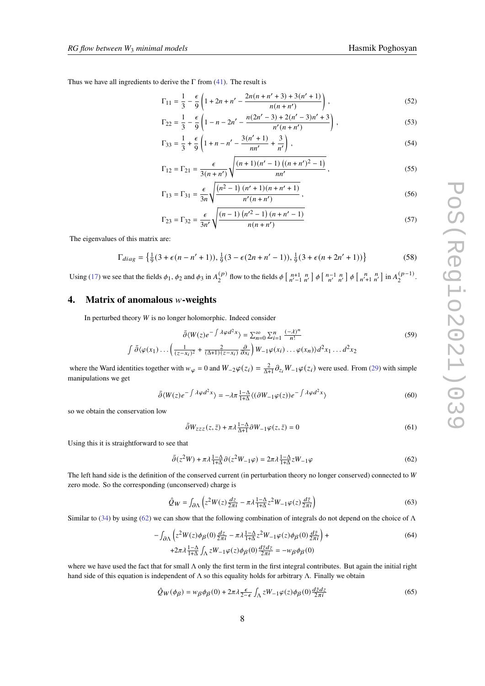Thus we have all ingredients to derive the  $\Gamma$  from [\(41\)](#page-6-1). The result is

<span id="page-7-1"></span>
$$
\Gamma_{11} = \frac{1}{3} - \frac{\epsilon}{9} \left( 1 + 2n + n' - \frac{2n(n + n' + 3) + 3(n' + 1)}{n(n + n')} \right),\tag{52}
$$

$$
\Gamma_{22} = \frac{1}{3} - \frac{\epsilon}{9} \left( 1 - n - 2n' - \frac{n(2n' - 3) + 2(n' - 3)n' + 3}{n'(n + n')} \right),\tag{53}
$$

$$
\Gamma_{33} = \frac{1}{3} + \frac{\epsilon}{9} \left( 1 + n - n' - \frac{3(n'+1)}{nn'} + \frac{3}{n'} \right),\tag{54}
$$

$$
\Gamma_{12} = \Gamma_{21} = \frac{\epsilon}{3(n+n')} \sqrt{\frac{(n+1)(n'-1)\left((n+n')^2 - 1\right)}{nn'}},\tag{55}
$$

$$
\Gamma_{13} = \Gamma_{31} = \frac{\epsilon}{3n} \sqrt{\frac{(n^2 - 1)(n' + 1)(n + n' + 1)}{n'(n + n')}},
$$
\n(56)

$$
\Gamma_{23} = \Gamma_{32} = \frac{\epsilon}{3n'} \sqrt{\frac{(n-1)\left(n'^2 - 1\right)\left(n + n' - 1\right)}{n(n + n')}}
$$
\n(57)

The eigenvalues of this matrix are:

$$
\Gamma_{diag} = \left\{ \frac{1}{9} (3 + \epsilon (n - n' + 1)), \frac{1}{9} (3 - \epsilon (2n + n' - 1)), \frac{1}{9} (3 + \epsilon (n + 2n' + 1)) \right\}
$$
(58)

Using [\(17\)](#page-3-1) we see that the fields  $\phi_1$ ,  $\phi_2$  and  $\phi_3$  in  $A_2^{(p)}$  $\binom{p}{2}$  flow to the fields  $\phi\left[\begin{array}{cc} n+1 & n \\ n'-1 & n' \end{array}\right] \phi\left[\begin{array}{cc} n-1 & n \\ n' & n' \end{array}\right] \phi\left[\begin{array}{cc} n & n \\ n'+1 & n' \end{array}\right]$  in  $A_2^{(p-1)}$  $\frac{(p-1)}{2}$ .

# **4.** Matrix of anomalous *w*-weights

In perturbed theory  $W$  is no longer holomorphic. Indeed consider

$$
\bar{\partial}\langle W(z)e^{-\int \lambda \varphi d^2x} \rangle = \sum_{n=0}^{\infty} \sum_{i=1}^{n} \frac{(-\lambda)^n}{n!}
$$
\n
$$
\int \bar{\partial}\langle\varphi(x_1)\dots\left(\frac{1}{(z-x_i)^2} + \frac{2}{(\Delta+1)(z-x_i)}\frac{\partial}{\partial x_i}\right)W_{-1}\varphi(x_i)\dots\varphi(x_n)\rangle d^2x_1\dots d^2x_2
$$
\n(59)

where the Ward identities together with  $w_{\varphi} = 0$  and  $W_{-2}\varphi(z_i) = \frac{2}{\Delta+1}\partial_{z_i}W_{-1}\varphi(z_i)$  were used. From [\(29\)](#page-5-1) with simple manipulations we get

$$
\bar{\partial}\langle W(z)e^{-\int \lambda \varphi d^2x}\rangle = -\lambda \pi \frac{1-\Delta}{1+\Delta} \langle (\partial W_{-1}\varphi(z))e^{-\int \lambda \varphi d^2x}\rangle \tag{60}
$$

so we obtain the conservation low

$$
\bar{\partial}W_{zzz}(z,\bar{z}) + \pi \lambda \frac{1-\Delta}{\Delta+1} \partial W_{-1} \varphi(z,\bar{z}) = 0 \tag{61}
$$

Using this it is straightforward to see that

<span id="page-7-0"></span>
$$
\bar{\partial}(z^2 W) + \pi \lambda \frac{1-\Delta}{1+\Delta} \partial(z^2 W_{-1} \varphi) = 2\pi \lambda \frac{1-\Delta}{1+\Delta} z W_{-1} \varphi \tag{62}
$$

The left hand side is the definition of the conserved current (in perturbation theory no longer conserved) connected to  $W$ zero mode. So the corresponding (unconserved) charge is

$$
\hat{Q}_W = \int_{\partial \Lambda} \left( z^2 W(z) \frac{dz}{2\pi i} - \pi \lambda \frac{1 - \Delta}{1 + \Delta} z^2 W_{-1} \varphi(z) \frac{d\bar{z}}{2\pi i} \right) \tag{63}
$$

Similar to [\(34\)](#page-5-2) by using [\(62\)](#page-7-0) we can show that the following combination of integrals do not depend on the choice of  $\Lambda$ 

$$
-\int_{\partial\Lambda} \left( z^2 W(z) \phi_{\beta}(0) \frac{dz}{2\pi i} - \pi \lambda \frac{1-\Delta}{1+\Delta} z^2 W_{-1} \varphi(z) \phi_{\beta}(0) \frac{d\bar{z}}{2\pi i} \right) +
$$
  
+2\pi \lambda \frac{1-\Delta}{1+\Delta} \int\_{\Lambda} z W\_{-1} \varphi(z) \phi\_{\beta}(0) \frac{d\bar{z} dz}{2\pi i} = -w\_{\beta} \phi\_{\beta}(0) \tag{64}

where we have used the fact that for small Λ only the first term in the first integral contributes. But again the initial right hand side of this equation is independent of  $\Lambda$  so this equality holds for arbitrary  $\Lambda$ . Finally we obtain

$$
\hat{Q}_W(\phi_\beta) = w_\beta \phi_\beta(0) + 2\pi \lambda \frac{\epsilon}{2 - \epsilon} \int_{\Lambda} z W_{-1} \varphi(z) \phi_\beta(0) \frac{d\bar{z} dz}{2\pi i}
$$
\n(65)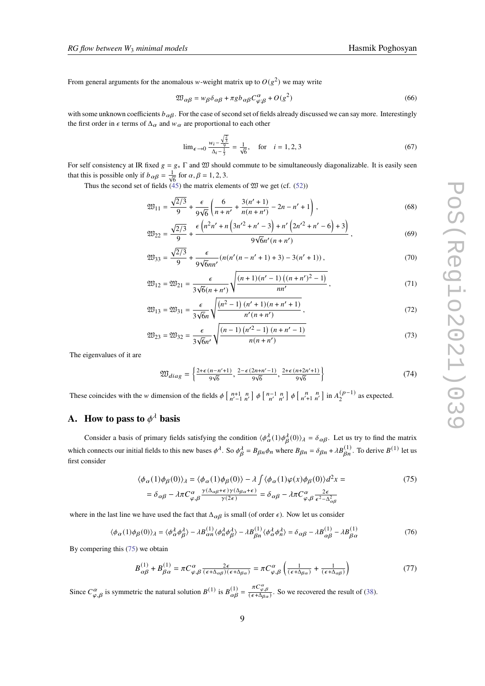From general arguments for the anomalous w-weight matrix up to  $O(g^2)$  we may write

$$
\mathfrak{W}_{\alpha\beta} = w_{\beta}\delta_{\alpha\beta} + \pi g b_{\alpha\beta} C^{\alpha}_{\varphi;\beta} + O(g^2)
$$
\n(66)

with some unknown coefficients  $b_{\alpha\beta}$ . For the case of second set of fields already discussed we can say more. Interestingly the first order in  $\epsilon$  terms of  $\Delta_{\alpha}$  and  $w_{\alpha}$  are proportional to each other

$$
\lim_{\epsilon \to 0} \frac{w_i - \frac{\sqrt{\frac{2}{3}}}{9}}{\Delta_i - \frac{1}{3}} = \frac{1}{\sqrt{6}}, \quad \text{for} \quad i = 1, 2, 3 \tag{67}
$$

For self consistency at IR fixed  $g = g_* \Gamma$  and  $\mathfrak W$  should commute to be simultaneously diagonalizable. It is easily seen that this is possible only if  $b_{\alpha\beta} = \frac{1}{\sqrt{6}}$  for  $\alpha, \beta = 1, 2, 3$ .

Thus the second set of fields  $(45)$  the matrix elements of  $\mathfrak W$  we get (cf. [\(52\)](#page-7-1))

$$
\mathfrak{W}_{11} = \frac{\sqrt{2/3}}{9} + \frac{\epsilon}{9\sqrt{6}} \left( \frac{6}{n+n'} + \frac{3(n'+1)}{n(n+n')} - 2n - n' + 1 \right),\tag{68}
$$

$$
\mathfrak{W}_{22} = \frac{\sqrt{2/3}}{9} + \frac{\epsilon \left( n^2 n' + n \left( 3n'^2 + n' - 3 \right) + n' \left( 2n'^2 + n' - 6 \right) + 3 \right)}{9\sqrt{6}n'(n + n')} \,,\tag{69}
$$

$$
\mathfrak{W}_{33} = \frac{\sqrt{2/3}}{9} + \frac{\epsilon}{9\sqrt{6}nn'} (n(n'(n - n' + 1) + 3) - 3(n' + 1)),\tag{70}
$$

$$
\mathfrak{W}_{12} = \mathfrak{W}_{21} = \frac{\epsilon}{3\sqrt{6}(n+n')} \sqrt{\frac{(n+1)(n'-1)\left((n+n')^2 - 1\right)}{nn'}},\tag{71}
$$

$$
\mathfrak{W}_{13} = \mathfrak{W}_{31} = \frac{\epsilon}{3\sqrt{6}n} \sqrt{\frac{(n^2 - 1)(n^2 + 1)(n + n^2 + 1)}{n^2(n + n^2)}},\tag{72}
$$

$$
\mathfrak{W}_{23} = \mathfrak{W}_{32} = \frac{\epsilon}{3\sqrt{6}n'} \sqrt{\frac{(n-1)\left(n'^2 - 1\right)\left(n + n' - 1\right)}{n(n + n')}}\tag{73}
$$

The eigenvalues of it are

$$
\mathfrak{W}_{diag} = \left\{ \frac{2+\epsilon(n-n'+1)}{9\sqrt{6}}, \frac{2-\epsilon(2n+n'-1)}{9\sqrt{6}}, \frac{2+\epsilon(n+2n'+1)}{9\sqrt{6}} \right\}
$$
(74)

These coincides with the *w* dimension of the fields  $\phi \begin{bmatrix} n+1 & n \\ n'-1 & n' \end{bmatrix} \phi \begin{bmatrix} n-1 & n \\ n' & n' \end{bmatrix} \phi \begin{bmatrix} n & n \\ n'+1 & n' \end{bmatrix}$  in  $A_2^{(p-1)}$  $2^{(p-1)}$  as expected.

# <span id="page-8-0"></span>**A.** How to pass to  $\phi^{\lambda}$  basis

Consider a basis of primary fields satisfying the condition  $\langle \phi_\alpha^{\lambda}(1)\phi_\beta^{\lambda}(0)\rangle_{\lambda} = \delta_{\alpha\beta}$ . Let us try to find the matrix which connects our initial fields to this new bases  $\phi^{\lambda}$ . So  $\phi^{\lambda}_{\beta} = B_{\beta n} \phi_n$  where  $B_{\beta n} = \delta_{\beta n} + \lambda B^{(1)}_{\beta n}$ . To derive  $B^{(1)}$  let us first consider

<span id="page-8-1"></span>
$$
\langle \phi_{\alpha}(1)\phi_{\beta}(0)\rangle_{\lambda} = \langle \phi_{\alpha}(1)\phi_{\beta}(0)\rangle - \lambda \int \langle \phi_{\alpha}(1)\varphi(x)\phi_{\beta}(0)\rangle d^{2}x =
$$
\n
$$
= \delta_{\alpha\beta} - \lambda \pi C_{\varphi,\beta}^{\alpha} \frac{\gamma(\Delta_{\alpha\beta} + \epsilon)\gamma(\Delta_{\beta\alpha} + \epsilon)}{\gamma(2\epsilon)} = \delta_{\alpha\beta} - \lambda \pi C_{\varphi,\beta}^{\alpha} \frac{2\epsilon}{\epsilon^{2} - \Delta_{\alpha\beta}^{2}}
$$
\n(75)

where in the last line we have used the fact that  $\Delta_{\alpha\beta}$  is small (of order  $\epsilon$ ). Now let us consider

$$
\langle \phi_{\alpha}(1)\phi_{\beta}(0)\rangle_{\lambda} = \langle \phi_{\alpha}^{\lambda}\phi_{\beta}^{\lambda}\rangle - \lambda B_{\alpha n}^{(1)} \langle \phi_{n}^{\lambda}\phi_{\beta}^{\lambda}\rangle - \lambda B_{\beta n}^{(1)} \langle \phi_{\alpha}^{\lambda}\phi_{n}^{\lambda}\rangle = \delta_{\alpha\beta} - \lambda B_{\alpha\beta}^{(1)} - \lambda B_{\beta\alpha}^{(1)}
$$
(76)

By compering this [\(75\)](#page-8-1) we obtain

$$
B_{\alpha\beta}^{(1)} + B_{\beta\alpha}^{(1)} = \pi C_{\varphi,\beta}^{\alpha} \frac{2\epsilon}{(\epsilon + \Delta_{\alpha\beta})(\epsilon + \Delta_{\beta\alpha})} = \pi C_{\varphi,\beta}^{\alpha} \left( \frac{1}{(\epsilon + \Delta_{\beta\alpha})} + \frac{1}{(\epsilon + \Delta_{\alpha\beta})} \right)
$$
(77)

Since  $C_{\varphi,\beta}^{\alpha}$  is symmetric the natural solution  $B^{(1)}$  is  $B_{\alpha\beta}^{(1)} = \frac{\pi C_{\varphi,\beta}^{\alpha}}{(\epsilon + \Delta_{\beta\alpha})}$ . So we recovered the result of [\(38\)](#page-6-0).